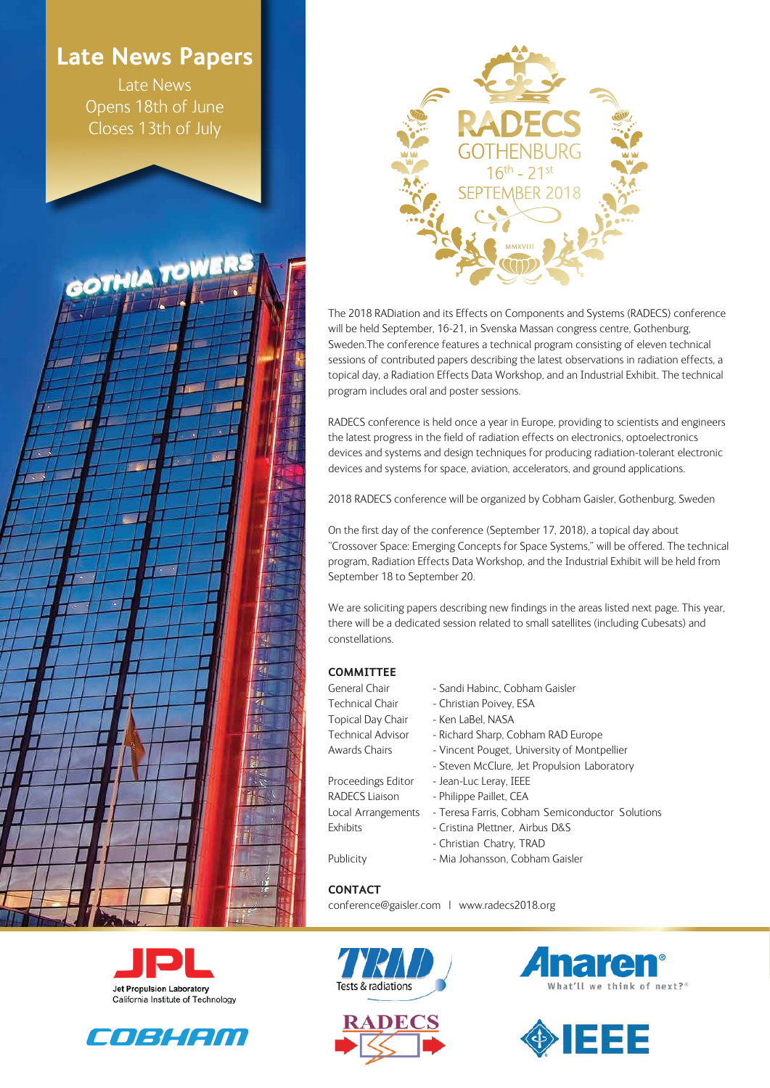# **Late News Papers**

Late News Opens 18th of June Closes 13th of July

GOTHIA TO



The 2018 RADiation and its Effects on Components and Systems (RADECS) conference will be held September, 16-21, in Svenska Massan congress centre, Gothenburg, Sweden.The conference features a technical program consisting of eleven technical sessions of contributed papers describing the latest observations in radiation effects, a topical day, a Radiation Effects Data Workshop, and an Industrial Exhibit. The technical program includes oral and poster sessions.

RADECS conference is held once a year in Europe, providing to scientists and engineers the latest progress in the field of radiation effects on electronics, optoelectronics devices and systems and design techniques for producing radiation-tolerant electronic devices and systems for space, aviation, accelerators, and ground applications.

2018 RADECS conference will be organized by Cobham Gaisler, Gothenburg, Sweden

On the first day of the conference (September 17, 2018), a topical day about "Crossover Space: Emerging Concepts for Space Systems," will be offered. The technical program, Radiation Effects Data Workshop, and the Industrial Exhibit will be held from September 18 to September 20.

We are soliciting papers describing new findings in the areas listed next page. This year, there will be a dedicated session related to small satellites (including Cubesats) and constellations.

#### **COMMITTEE**

N

εï

- Topical Day Chair Ken LaBel, NASA
- General Chair Sandi Habinc, Cobham Gaisler
- Technical Chair Christian Poivey, ESA
	-
- Technical Advisor Richard Sharp, Cobham RAD Europe
- Awards Chairs Vincent Pouget, University of Montpellier
	- Steven McClure, Jet Propulsion Laboratory
- Proceedings Editor Jean-Luc Leray, IEEE
- RADECS Liaison Philippe Paillet, CEA
- Local Arrangements Teresa Farris, Cobham Semiconductor Solutions
- Exhibits Cristina Plettner, Airbus D&S
	- Christian Chatry, TRAD
- Publicity Mia Johansson, Cobham Gaisler

**CONTACT**

conference@gaisler.com | www.radecs2018.org